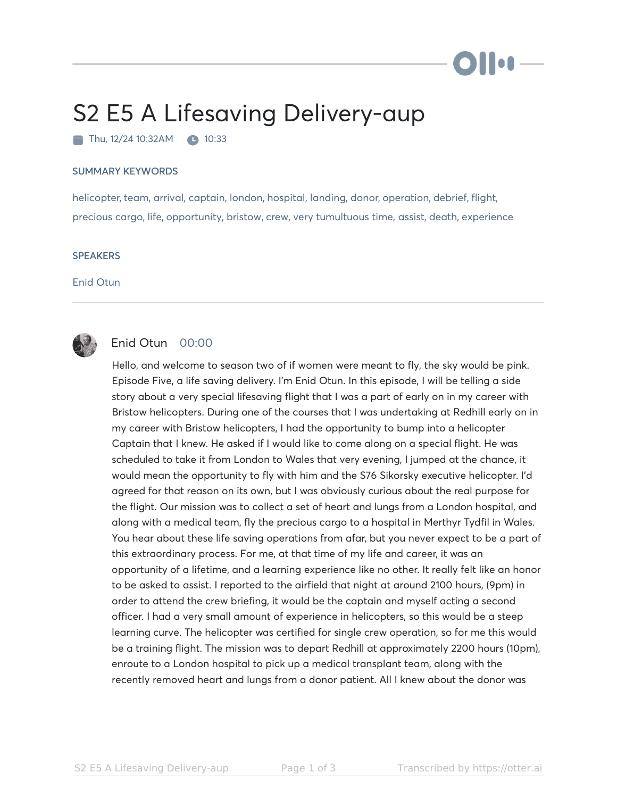## S2 E5 A Lifesaving Delivery-aup

 $\blacksquare$  Thu, 12/24 10:32AM  $\blacksquare$  10:33

## SUMMARY KEYWORDS

helicopter, team, arrival, captain, london, hospital, landing, donor, operation, debrief, flight, precious cargo, life, opportunity, bristow, crew, very tumultuous time, assist, death, experience

## **SPEAKERS**

Enid Otun



## Enid Otun 00:00

Hello, and welcome to season two of if women were meant to fly, the sky would be pink. Episode Five, a life saving delivery. I'm Enid Otun. In this episode, I will be telling a side story about a very special lifesaving flight that I was a part of early on in my career with Bristow helicopters. During one of the courses that I was undertaking at Redhill early on in my career with Bristow helicopters, I had the opportunity to bump into a helicopter Captain that I knew. He asked if I would like to come along on a special flight. He was scheduled to take it from London to Wales that very evening, I jumped at the chance, it would mean the opportunity to fly with him and the S76 Sikorsky executive helicopter. I'd agreed for that reason on its own, but I was obviously curious about the real purpose for the flight. Our mission was to collect a set of heart and lungs from a London hospital, and along with a medical team, fly the precious cargo to a hospital in Merthyr Tydfil in Wales. You hear about these life saving operations from afar, but you never expect to be a part of this extraordinary process. For me, at that time of my life and career, it was an opportunity of a lifetime, and a learning experience like no other. It really felt like an honor to be asked to assist. I reported to the airfield that night at around 2100 hours, (9pm) in order to attend the crew briefing, it would be the captain and myself acting a second officer. I had a very small amount of experience in helicopters, so this would be a steep learning curve. The helicopter was certified for single crew operation, so for me this would be a training flight. The mission was to depart Redhill at approximately 2200 hours (10pm), enroute to a London hospital to pick up a medical transplant team, along with the recently removed heart and lungs from a donor patient. All I knew about the donor was

) | | og .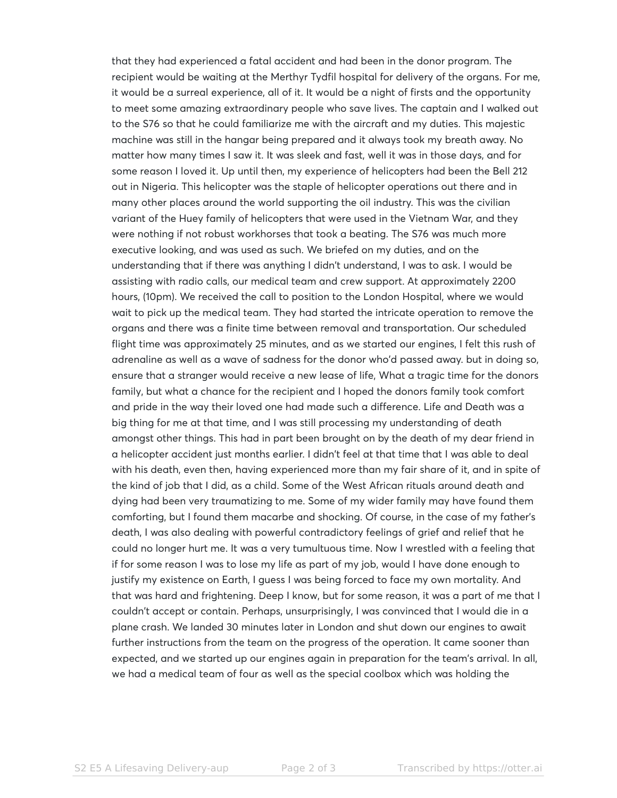that they had experienced a fatal accident and had been in the donor program. The recipient would be waiting at the Merthyr Tydfil hospital for delivery of the organs. For me, it would be a surreal experience, all of it. It would be a night of firsts and the opportunity to meet some amazing extraordinary people who save lives. The captain and I walked out to the S76 so that he could familiarize me with the aircraft and my duties. This majestic machine was still in the hangar being prepared and it always took my breath away. No matter how many times I saw it. It was sleek and fast, well it was in those days, and for some reason I loved it. Up until then, my experience of helicopters had been the Bell 212 out in Nigeria. This helicopter was the staple of helicopter operations out there and in many other places around the world supporting the oil industry. This was the civilian variant of the Huey family of helicopters that were used in the Vietnam War, and they were nothing if not robust workhorses that took a beating. The S76 was much more executive looking, and was used as such. We briefed on my duties, and on the understanding that if there was anything I didn't understand, I was to ask. I would be assisting with radio calls, our medical team and crew support. At approximately 2200 hours, (10pm). We received the call to position to the London Hospital, where we would wait to pick up the medical team. They had started the intricate operation to remove the organs and there was a finite time between removal and transportation. Our scheduled flight time was approximately 25 minutes, and as we started our engines, I felt this rush of adrenaline as well as a wave of sadness for the donor who'd passed away. but in doing so, ensure that a stranger would receive a new lease of life, What a tragic time for the donors family, but what a chance for the recipient and I hoped the donors family took comfort and pride in the way their loved one had made such a difference. Life and Death was a big thing for me at that time, and I was still processing my understanding of death amongst other things. This had in part been brought on by the death of my dear friend in a helicopter accident just months earlier. I didn't feel at that time that I was able to deal with his death, even then, having experienced more than my fair share of it, and in spite of the kind of job that I did, as a child. Some of the West African rituals around death and dying had been very traumatizing to me. Some of my wider family may have found them comforting, but I found them macarbe and shocking. Of course, in the case of my father's death, I was also dealing with powerful contradictory feelings of grief and relief that he could no longer hurt me. It was a very tumultuous time. Now I wrestled with a feeling that if for some reason I was to lose my life as part of my job, would I have done enough to justify my existence on Earth, I guess I was being forced to face my own mortality. And that was hard and frightening. Deep I know, but for some reason, it was a part of me that I couldn't accept or contain. Perhaps, unsurprisingly, I was convinced that I would die in a plane crash. We landed 30 minutes later in London and shut down our engines to await further instructions from the team on the progress of the operation. It came sooner than expected, and we started up our engines again in preparation for the team's arrival. In all, we had a medical team of four as well as the special coolbox which was holding the